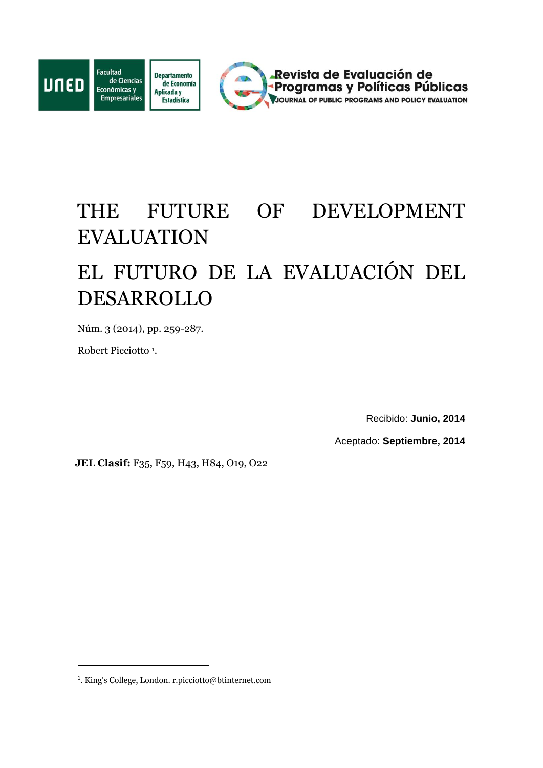

# THE FUTURE OF DEVELOPMENT EVALUATION

# EL FUTURO DE LA EVALUACIÓN DEL DESARROLLO

Núm. 3 (2014), pp. 259-287.

Robert Picciotto<sup>1</sup>.

Recibido: **Junio, 2014**

Aceptado: **Septiembre, 2014**

**JEL Clasif:** F35, F59, H43, H84, O19, O22

**.** 

<sup>&</sup>lt;sup>1</sup>. King's College, London. [r.picciotto@btinternet.com](mailto:r.picciotto@btinternet.com)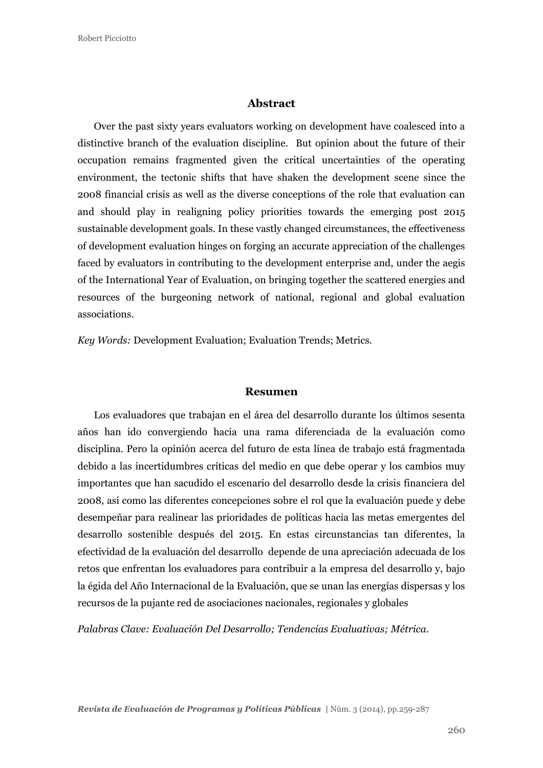#### **Abstract**

Over the past sixty years evaluators working on development have coalesced into a distinctive branch of the evaluation discipline. But opinion about the future of their occupation remains fragmented given the critical uncertainties of the operating environment, the tectonic shifts that have shaken the development scene since the 2008 financial crisis as well as the diverse conceptions of the role that evaluation can and should play in realigning policy priorities towards the emerging post 2015 sustainable development goals. In these vastly changed circumstances, the effectiveness of development evaluation hinges on forging an accurate appreciation of the challenges faced by evaluators in contributing to the development enterprise and, under the aegis of the International Year of Evaluation, on bringing together the scattered energies and resources of the burgeoning network of national, regional and global evaluation associations.

*Key Words:* Development Evaluation; Evaluation Trends; Metrics.

#### **Resumen**

Los evaluadores que trabajan en el área del desarrollo durante los últimos sesenta años han ido convergiendo hacia una rama diferenciada de la evaluación como disciplina. Pero la opinión acerca del futuro de esta línea de trabajo está fragmentada debido a las incertidumbres críticas del medio en que debe operar y los cambios muy importantes que han sacudido el escenario del desarrollo desde la crisis financiera del 2008, así como las diferentes concepciones sobre el rol que la evaluación puede y debe desempeñar para realinear las prioridades de políticas hacia las metas emergentes del desarrollo sostenible después del 2015. En estas circunstancias tan diferentes, la efectividad de la evaluación del desarrollo depende de una apreciación adecuada de los retos que enfrentan los evaluadores para contribuir a la empresa del desarrollo y, bajo la égida del Año Internacional de la Evaluación, que se unan las energías dispersas y los recursos de la pujante red de asociaciones nacionales, regionales y globales

*Palabras Clave: Evaluación Del Desarrollo; Tendencias Evaluativas; Métrica.*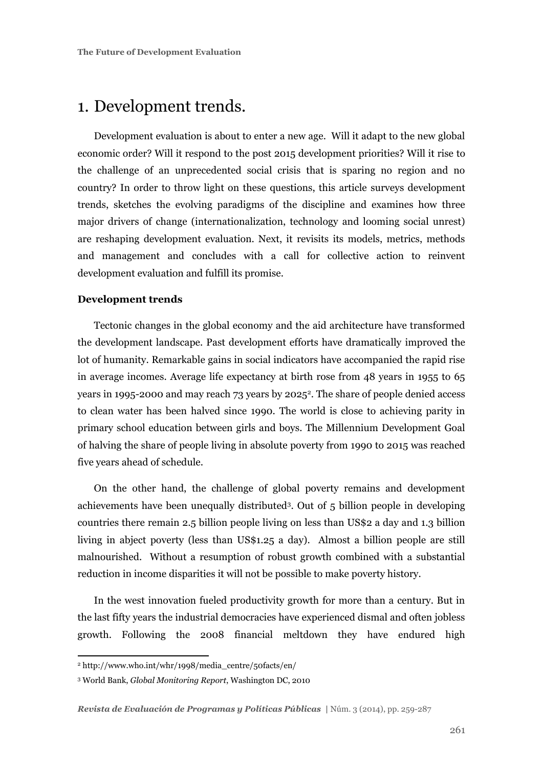#### 1. Development trends.

Development evaluation is about to enter a new age. Will it adapt to the new global economic order? Will it respond to the post 2015 development priorities? Will it rise to the challenge of an unprecedented social crisis that is sparing no region and no country? In order to throw light on these questions, this article surveys development trends, sketches the evolving paradigms of the discipline and examines how three major drivers of change (internationalization, technology and looming social unrest) are reshaping development evaluation. Next, it revisits its models, metrics, methods and management and concludes with a call for collective action to reinvent development evaluation and fulfill its promise.

#### **Development trends**

Tectonic changes in the global economy and the aid architecture have transformed the development landscape. Past development efforts have dramatically improved the lot of humanity. Remarkable gains in social indicators have accompanied the rapid rise in average incomes. Average life expectancy at birth rose from 48 years in 1955 to 65 years in 1995-2000 and may reach 73 years by 2025<sup>2</sup> . The share of people denied access to clean water has been halved since 1990. The world is close to achieving parity in primary school education between girls and boys. The Millennium Development Goal of halving the share of people living in absolute poverty from 1990 to 2015 was reached five years ahead of schedule.

On the other hand, the challenge of global poverty remains and development achievements have been unequally distributed<sup>3</sup> . Out of 5 billion people in developing countries there remain 2.5 billion people living on less than US\$2 a day and 1.3 billion living in abject poverty (less than US\$1.25 a day). Almost a billion people are still malnourished. Without a resumption of robust growth combined with a substantial reduction in income disparities it will not be possible to make poverty history.

In the west innovation fueled productivity growth for more than a century. But in the last fifty years the industrial democracies have experienced dismal and often jobless growth. Following the 2008 financial meltdown they have endured high

**.** 

<sup>2</sup> http://www.who.int/whr/1998/media\_centre/50facts/en/

<sup>3</sup> World Bank, *Global Monitoring Report*, Washington DC, 2010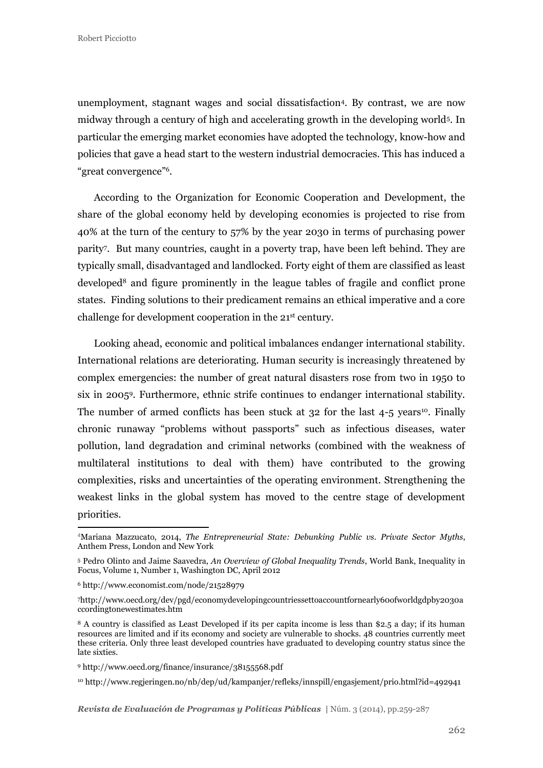unemployment, stagnant wages and social dissatisfaction<sup>4</sup> . By contrast, we are now midway through a century of high and accelerating growth in the developing world<sup>5</sup>. In particular the emerging market economies have adopted the technology, know-how and policies that gave a head start to the western industrial democracies. This has induced a "great convergence"<sup>6</sup> .

According to the Organization for Economic Cooperation and Development, the share of the global economy held by developing economies is projected to rise from 40% at the turn of the century to 57% by the year 2030 in terms of purchasing power parity<sup>7</sup> . But many countries, caught in a poverty trap, have been left behind. They are typically small, disadvantaged and landlocked. Forty eight of them are classified as least developed<sup>8</sup> and figure prominently in the league tables of fragile and conflict prone states. Finding solutions to their predicament remains an ethical imperative and a core challenge for development cooperation in the 21st century.

Looking ahead, economic and political imbalances endanger international stability. International relations are deteriorating. Human security is increasingly threatened by complex emergencies: the number of great natural disasters rose from two in 1950 to six in 2005<sup>9</sup> . Furthermore, ethnic strife continues to endanger international stability. The number of armed conflicts has been stuck at  $32$  for the last  $4-5$  years<sup>10</sup>. Finally chronic runaway "problems without passports" such as infectious diseases, water pollution, land degradation and criminal networks (combined with the weakness of multilateral institutions to deal with them) have contributed to the growing complexities, risks and uncertainties of the operating environment. Strengthening the weakest links in the global system has moved to the centre stage of development priorities.

1

<sup>4</sup>Mariana Mazzucato, 2014, *The Entrepreneurial State: Debunking Public vs. Private Sector Myths*, Anthem Press, London and New York

<sup>5</sup> Pedro Olinto and Jaime Saavedra, *An Overview of Global Inequality Trends*, World Bank, Inequality in Focus, Volume 1, Number 1, Washington DC, April 2012

<sup>6</sup> http://www.economist.com/node/21528979

<sup>7</sup>http://www.oecd.org/dev/pgd/economydevelopingcountriessettoaccountfornearly60ofworldgdpby2030a ccordingtonewestimates.htm

<sup>8</sup> A country is classified as Least Developed if its per capita income is less than \$2.5 a day; if its human resources are limited and if its economy and society are vulnerable to shocks. 48 countries currently meet these criteria. Only three least developed countries have graduated to developing country status since the late sixties.

<sup>9</sup> http://www.oecd.org/finance/insurance/38155568.pdf

<sup>10</sup> http://www.regjeringen.no/nb/dep/ud/kampanjer/refleks/innspill/engasjement/prio.html?id=492941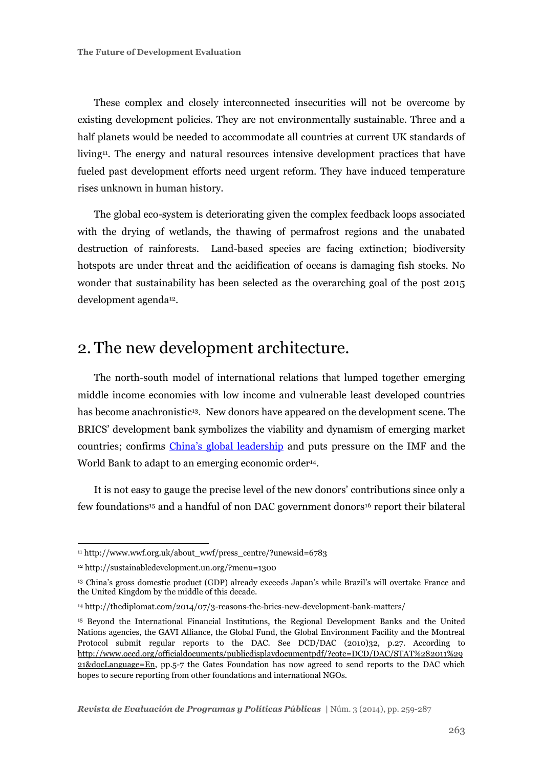These complex and closely interconnected insecurities will not be overcome by existing development policies. They are not environmentally sustainable. Three and a half planets would be needed to accommodate all countries at current UK standards of living<sup>11</sup>. The energy and natural resources intensive development practices that have fueled past development efforts need urgent reform. They have induced temperature rises unknown in human history.

The global eco-system is deteriorating given the complex feedback loops associated with the drying of wetlands, the thawing of permafrost regions and the unabated destruction of rainforests. Land-based species are facing extinction; biodiversity hotspots are under threat and the acidification of oceans is damaging fish stocks. No wonder that sustainability has been selected as the overarching goal of the post 2015 development agenda<sup>12</sup>.

# 2. The new development architecture.

The north-south model of international relations that lumped together emerging middle income economies with low income and vulnerable least developed countries has become anachronistic<sup>13</sup>. New donors have appeared on the development scene. The BRICS' development bank symbolizes the viability and dynamism of emerging market countries; confirms [China's global leadership](http://thediplomat.com/2014/03/the-world-needs-chinas-leadership/) and puts pressure on the IMF and the World Bank to adapt to an emerging economic order<sup>14</sup>.

It is not easy to gauge the precise level of the new donors' contributions since only a few foundations<sup>15</sup> and a handful of non DAC government donors<sup>16</sup> report their bilateral

1

<sup>11</sup> http://www.wwf.org.uk/about\_wwf/press\_centre/?unewsid=6783

<sup>12</sup> http://sustainabledevelopment.un.org/?menu=1300

<sup>13</sup> China's gross domestic product (GDP) already exceeds Japan's while Brazil's will overtake France and the United Kingdom by the middle of this decade.

<sup>14</sup> http://thediplomat.com/2014/07/3-reasons-the-brics-new-development-bank-matters/

<sup>15</sup> Beyond the International Financial Institutions, the Regional Development Banks and the United Nations agencies, the GAVI Alliance, the Global Fund, the Global Environment Facility and the Montreal Protocol submit regular reports to the DAC. See DCD/DAC (2010)32, p.27. According to [http://www.oecd.org/officialdocuments/publicdisplaydocumentpdf/?cote=DCD/DAC/STAT%282011%29](http://www.oecd.org/officialdocuments/publicdisplaydocumentpdf/?cote=DCD/DAC/STAT%282011%2921&docLanguage=En) [21&docLanguage=En,](http://www.oecd.org/officialdocuments/publicdisplaydocumentpdf/?cote=DCD/DAC/STAT%282011%2921&docLanguage=En) pp.5-7 the Gates Foundation has now agreed to send reports to the DAC which hopes to secure reporting from other foundations and international NGOs.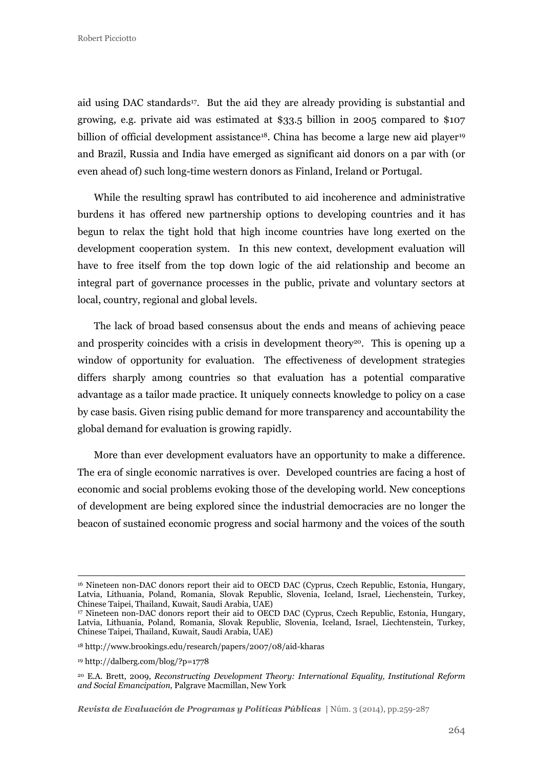Robert Picciotto

aid using DAC standards17. But the aid they are already providing is substantial and growing, e.g. private aid was estimated at \$33.5 billion in 2005 compared to \$107 billion of official development assistance<sup>18</sup>. China has become a large new aid player<sup>19</sup> and Brazil, Russia and India have emerged as significant aid donors on a par with (or even ahead of) such long-time western donors as Finland, Ireland or Portugal.

While the resulting sprawl has contributed to aid incoherence and administrative burdens it has offered new partnership options to developing countries and it has begun to relax the tight hold that high income countries have long exerted on the development cooperation system. In this new context, development evaluation will have to free itself from the top down logic of the aid relationship and become an integral part of governance processes in the public, private and voluntary sectors at local, country, regional and global levels.

The lack of broad based consensus about the ends and means of achieving peace and prosperity coincides with a crisis in development theory<sup>20</sup>. This is opening up a window of opportunity for evaluation. The effectiveness of development strategies differs sharply among countries so that evaluation has a potential comparative advantage as a tailor made practice. It uniquely connects knowledge to policy on a case by case basis. Given rising public demand for more transparency and accountability the global demand for evaluation is growing rapidly.

More than ever development evaluators have an opportunity to make a difference. The era of single economic narratives is over. Developed countries are facing a host of economic and social problems evoking those of the developing world. New conceptions of development are being explored since the industrial democracies are no longer the beacon of sustained economic progress and social harmony and the voices of the south

**.** 

<sup>16</sup> Nineteen non-DAC donors report their aid to OECD DAC (Cyprus, Czech Republic, Estonia, Hungary, Latvia, Lithuania, Poland, Romania, Slovak Republic, Slovenia, Iceland, Israel, Liechenstein, Turkey, Chinese Taipei, Thailand, Kuwait, Saudi Arabia, UAE)

<sup>17</sup> Nineteen non-DAC donors report their aid to OECD DAC (Cyprus, Czech Republic, Estonia, Hungary, Latvia, Lithuania, Poland, Romania, Slovak Republic, Slovenia, Iceland, Israel, Liechtenstein, Turkey, Chinese Taipei, Thailand, Kuwait, Saudi Arabia, UAE)

<sup>18</sup> http://www.brookings.edu/research/papers/2007/08/aid-kharas

<sup>19</sup> http://dalberg.com/blog/?p=1778

<sup>20</sup> E.A. Brett, 2009*, Reconstructing Development Theory: International Equality, Institutional Reform and Social Emancipation,* Palgrave Macmillan, New York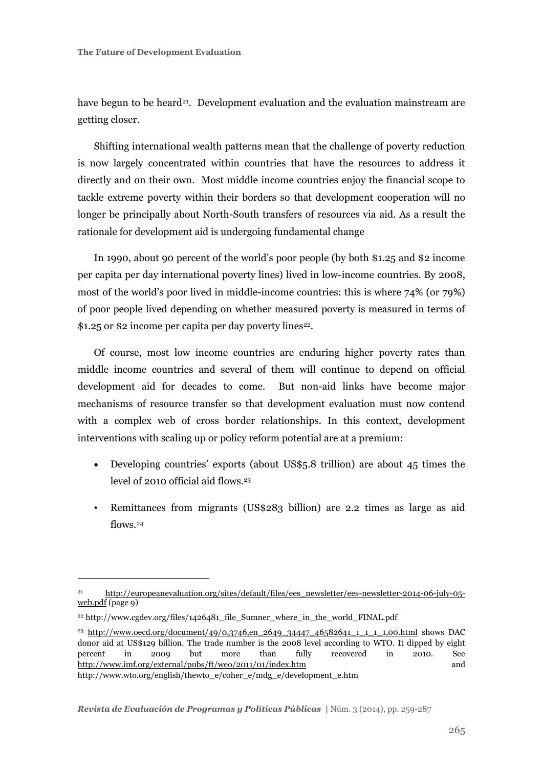have begun to be heard<sup>21</sup>. Development evaluation and the evaluation mainstream are getting closer.

Shifting international wealth patterns mean that the challenge of poverty reduction is now largely concentrated within countries that have the resources to address it directly and on their own. Most middle income countries enjoy the financial scope to tackle extreme poverty within their borders so that development cooperation will no longer be principally about North-South transfers of resources via aid. As a result the rationale for development aid is undergoing fundamental change

In 1990, about 90 percent of the world's poor people (by both \$1.25 and \$2 income per capita per day international poverty lines) lived in low-income countries. By 2008, most of the world's poor lived in middle-income countries: this is where 74% (or 79%) of poor people lived depending on whether measured poverty is measured in terms of \$1.25 or \$2 income per capita per day poverty lines<sup>22</sup>.

Of course, most low income countries are enduring higher poverty rates than middle income countries and several of them will continue to depend on official development aid for decades to come. But non-aid links have become major mechanisms of resource transfer so that development evaluation must now contend with a complex web of cross border relationships. In this context, development interventions with scaling up or policy reform potential are at a premium:

- Developing countries' exports (about US\$5.8 trillion) are about 45 times the level of 2010 official aid flows.<sup>23</sup>
- Remittances from migrants (US\$283 billion) are 2.2 times as large as aid flows.<sup>24</sup>

1

<sup>&</sup>lt;sup>21</sup> [http://europeanevaluation.org/sites/default/files/ees\\_newsletter/ees-newsletter-2014-06-july-05](http://europeanevaluation.org/sites/default/files/ees_newsletter/ees-newsletter-2014-06-july-05-web.pdf) [web.pdf](http://europeanevaluation.org/sites/default/files/ees_newsletter/ees-newsletter-2014-06-july-05-web.pdf) (page 9)

<sup>22</sup> http://www.cgdev.org/files/1426481\_file\_Sumner\_where\_in\_the\_world\_FINAL.pdf

<sup>&</sup>lt;sup>23</sup> [http://www.oecd.org/document/49/0,3746,en\\_2649\\_34447\\_46582641\\_1\\_1\\_1\\_1,00.html](http://www.oecd.org/document/49/0,3746,en_2649_34447_46582641_1_1_1_1,00.html) shows DAC donor aid at US\$129 billion. The trade number is the 2008 level according to WTO. It dipped by eight percent in 2009 but more than fully recovered in 2010. See <http://www.imf.org/external/pubs/ft/weo/2011/01/index.htm> and http://www.wto.org/english/thewto\_e/coher\_e/mdg\_e/development\_e.htm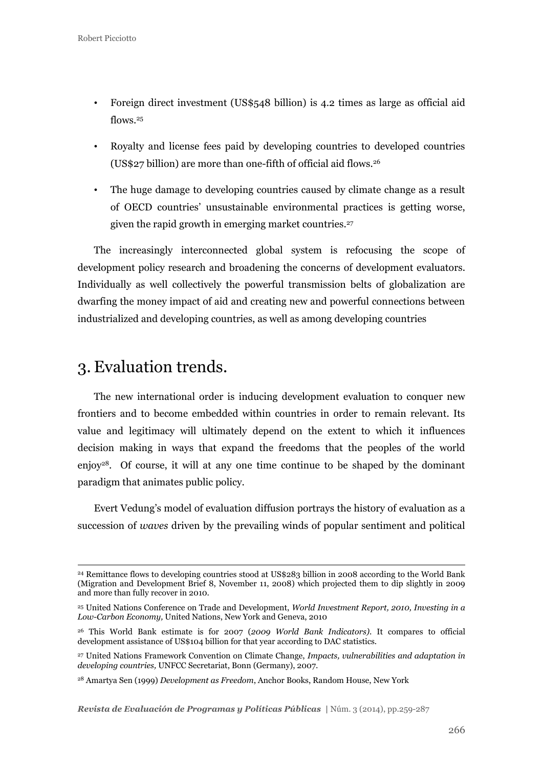- Foreign direct investment (US\$548 billion) is 4.2 times as large as official aid flows.<sup>25</sup>
- Royalty and license fees paid by developing countries to developed countries (US\$27 billion) are more than one-fifth of official aid flows.<sup>26</sup>
- The huge damage to developing countries caused by climate change as a result of OECD countries' unsustainable environmental practices is getting worse, given the rapid growth in emerging market countries.<sup>27</sup>

The increasingly interconnected global system is refocusing the scope of development policy research and broadening the concerns of development evaluators. Individually as well collectively the powerful transmission belts of globalization are dwarfing the money impact of aid and creating new and powerful connections between industrialized and developing countries, as well as among developing countries

## 3. Evaluation trends.

**.** 

The new international order is inducing development evaluation to conquer new frontiers and to become embedded within countries in order to remain relevant. Its value and legitimacy will ultimately depend on the extent to which it influences decision making in ways that expand the freedoms that the peoples of the world enjoy28. Of course, it will at any one time continue to be shaped by the dominant paradigm that animates public policy.

Evert Vedung's model of evaluation diffusion portrays the history of evaluation as a succession of *waves* driven by the prevailing winds of popular sentiment and political

<sup>24</sup> Remittance flows to developing countries stood at US\$283 billion in 2008 according to the World Bank (Migration and Development Brief 8, November 11, 2008) which projected them to dip slightly in 2009 and more than fully recover in 2010.

<sup>25</sup> United Nations Conference on Trade and Development, *World Investment Report, 2010, Investing in a Low-Carbon Economy,* United Nations, New York and Geneva, 2010

<sup>26</sup> This World Bank estimate is for 2007 (*2009 World Bank Indicators)*. It compares to official development assistance of US\$104 billion for that year according to DAC statistics.

<sup>27</sup> United Nations Framework Convention on Climate Change, *Impacts, vulnerabilities and adaptation in developing countries,* UNFCC Secretariat, Bonn (Germany), 2007.

<sup>28</sup> Amartya Sen (1999) *Development as Freedom*, Anchor Books, Random House, New York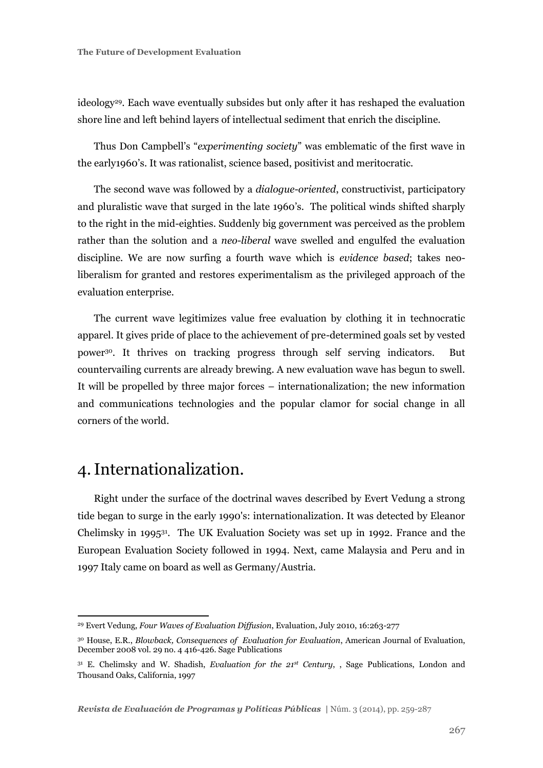ideology29. Each wave eventually subsides but only after it has reshaped the evaluation shore line and left behind layers of intellectual sediment that enrich the discipline.

Thus Don Campbell's "*experimenting society*" was emblematic of the first wave in the early1960's. It was rationalist, science based, positivist and meritocratic.

The second wave was followed by a *dialogue-oriented*, constructivist, participatory and pluralistic wave that surged in the late 1960's. The political winds shifted sharply to the right in the mid-eighties. Suddenly big government was perceived as the problem rather than the solution and a *neo-liberal* wave swelled and engulfed the evaluation discipline. We are now surfing a fourth wave which is *evidence based*; takes neoliberalism for granted and restores experimentalism as the privileged approach of the evaluation enterprise.

The current wave legitimizes value free evaluation by clothing it in technocratic apparel. It gives pride of place to the achievement of pre-determined goals set by vested power30. It thrives on tracking progress through self serving indicators. But countervailing currents are already brewing. A new evaluation wave has begun to swell. It will be propelled by three major forces – internationalization; the new information and communications technologies and the popular clamor for social change in all corners of the world.

### 4.Internationalization.

1

Right under the surface of the doctrinal waves described by Evert Vedung a strong tide began to surge in the early 1990's: internationalization. It was detected by Eleanor Chelimsky in 199531. The UK Evaluation Society was set up in 1992. France and the European Evaluation Society followed in 1994. Next, came Malaysia and Peru and in 1997 Italy came on board as well as Germany/Austria.

<sup>29</sup> Evert Vedung, *Four Waves of Evaluation Diffusion*, Evaluation, July 2010, 16:263-277

<sup>30</sup> House, E.R., *Blowback, Consequences of Evaluation for Evaluation*, American Journal of Evaluation, December 2008 vol. 29 no. 4 416-426. Sage Publications

<sup>31</sup> E. Chelimsky and W. Shadish, *Evaluation for the 21st Century*, , Sage Publications, London and Thousand Oaks, California, 1997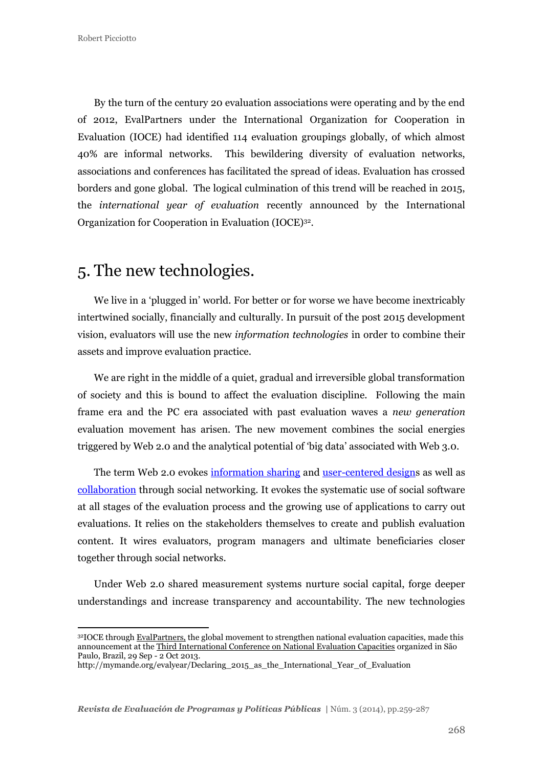**.** 

By the turn of the century 20 evaluation associations were operating and by the end of 2012, EvalPartners under the International Organization for Cooperation in Evaluation (IOCE) had identified 114 evaluation groupings globally, of which almost 40% are informal networks. This bewildering diversity of evaluation networks, associations and conferences has facilitated the spread of ideas. Evaluation has crossed borders and gone global. The logical culmination of this trend will be reached in 2015, the *international year of evaluation* recently announced by the International Organization for Cooperation in Evaluation (IOCE)<sup>32</sup> .

#### 5. The new technologies.

We live in a 'plugged in' world. For better or for worse we have become inextricably intertwined socially, financially and culturally. In pursuit of the post 2015 development vision, evaluators will use the new *information technologies* in order to combine their assets and improve evaluation practice.

We are right in the middle of a quiet, gradual and irreversible global transformation of society and this is bound to affect the evaluation discipline. Following the main frame era and the PC era associated with past evaluation waves a *new generation* evaluation movement has arisen. The new movement combines the social energies triggered by Web 2.0 and the analytical potential of 'big data' associated with Web 3.0.

The term Web 2.0 evokes [information sharing](http://en.wikipedia.org/wiki/Information_sharing) and [user-centered designs](http://en.wikipedia.org/wiki/User-centered_design) as well as [collaboration](http://en.wikipedia.org/wiki/Collaboration) through social networking. It evokes the systematic use of social software at all stages of the evaluation process and the growing use of applications to carry out evaluations. It relies on the stakeholders themselves to create and publish evaluation content. It wires evaluators, program managers and ultimate beneficiaries closer together through social networks.

Under Web 2.0 shared measurement systems nurture social capital, forge deeper understandings and increase transparency and accountability. The new technologies

<sup>32</sup>IOCE through [EvalPartners,](http://mymande.org/evalpartners) the global movement to strengthen national evaluation capacities, made this announcement at th[e Third International Conference on National Evaluation Capacities](http://www.nec2013.org/) organized in São Paulo, Brazil, 29 Sep - 2 Oct 2013.

http://mymande.org/evalyear/Declaring 2015 as the International Year of Evaluation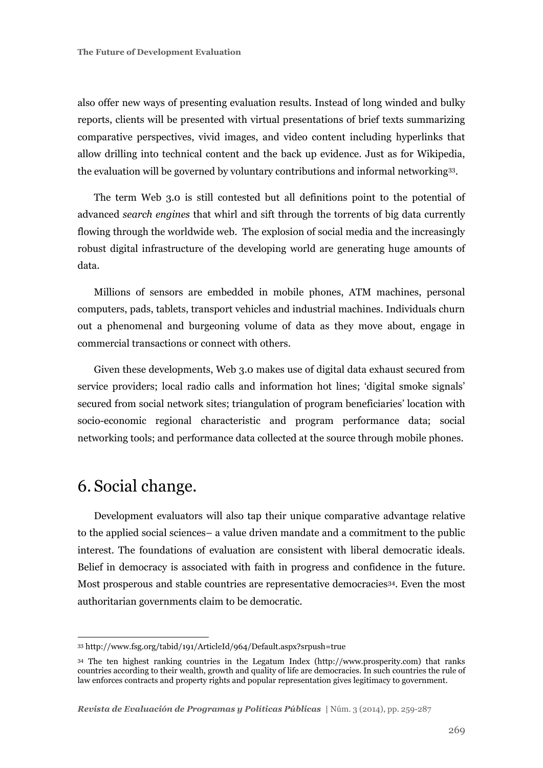also offer new ways of presenting evaluation results. Instead of long winded and bulky reports, clients will be presented with virtual presentations of brief texts summarizing comparative perspectives, vivid images, and video content including hyperlinks that allow drilling into technical content and the back up evidence. Just as for Wikipedia, the evaluation will be governed by voluntary contributions and informal networking<sup>33</sup> .

The term Web 3.0 is still contested but all definitions point to the potential of advanced *search engines* that whirl and sift through the torrents of big data currently flowing through the worldwide web. The explosion of social media and the increasingly robust digital infrastructure of the developing world are generating huge amounts of data.

Millions of sensors are embedded in mobile phones, ATM machines, personal computers, pads, tablets, transport vehicles and industrial machines. Individuals churn out a phenomenal and burgeoning volume of data as they move about, engage in commercial transactions or connect with others.

Given these developments, Web 3.0 makes use of digital data exhaust secured from service providers; local radio calls and information hot lines; 'digital smoke signals' secured from social network sites; triangulation of program beneficiaries' location with socio-economic regional characteristic and program performance data; social networking tools; and performance data collected at the source through mobile phones.

### 6. Social change.

**.** 

Development evaluators will also tap their unique comparative advantage relative to the applied social sciences– a value driven mandate and a commitment to the public interest. The foundations of evaluation are consistent with liberal democratic ideals. Belief in democracy is associated with faith in progress and confidence in the future. Most prosperous and stable countries are representative democracies34. Even the most authoritarian governments claim to be democratic.

<sup>33</sup> http://www.fsg.org/tabid/191/ArticleId/964/Default.aspx?srpush=true

<sup>34</sup> The ten highest ranking countries in the Legatum Index (http://www.prosperity.com) that ranks countries according to their wealth, growth and quality of life are democracies. In such countries the rule of law enforces contracts and property rights and popular representation gives legitimacy to government.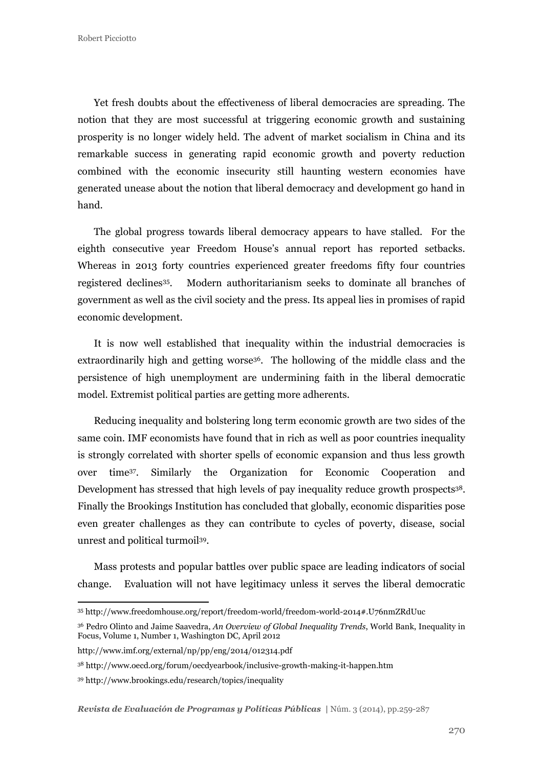Robert Picciotto

Yet fresh doubts about the effectiveness of liberal democracies are spreading. The notion that they are most successful at triggering economic growth and sustaining prosperity is no longer widely held. The advent of market socialism in China and its remarkable success in generating rapid economic growth and poverty reduction combined with the economic insecurity still haunting western economies have generated unease about the notion that liberal democracy and development go hand in hand.

The global progress towards liberal democracy appears to have stalled. For the eighth consecutive year Freedom House's annual report has reported setbacks. Whereas in 2013 forty countries experienced greater freedoms fifty four countries registered declines35. Modern authoritarianism seeks to dominate all branches of government as well as the civil society and the press. Its appeal lies in promises of rapid economic development.

It is now well established that inequality within the industrial democracies is extraordinarily high and getting worse<sup>36</sup>. The hollowing of the middle class and the persistence of high unemployment are undermining faith in the liberal democratic model. Extremist political parties are getting more adherents.

Reducing inequality and bolstering long term economic growth are two sides of the same coin. IMF economists have found that in rich as well as poor countries inequality is strongly correlated with shorter spells of economic expansion and thus less growth over time37. Similarly the Organization for Economic Cooperation and Development has stressed that high levels of pay inequality reduce growth prospects<sup>38</sup>. Finally the Brookings Institution has concluded that globally, economic disparities pose even greater challenges as they can contribute to cycles of poverty, disease, social unrest and political turmoil<sup>39</sup> .

Mass protests and popular battles over public space are leading indicators of social change. Evaluation will not have legitimacy unless it serves the liberal democratic

**.** 

<sup>35</sup> http://www.freedomhouse.org/report/freedom-world/freedom-world-2014#.U76nmZRdUuc

<sup>36</sup> Pedro Olinto and Jaime Saavedra, *An Overview of Global Inequality Trends*, World Bank, Inequality in Focus, Volume 1, Number 1, Washington DC, April 2012

http://www.imf.org/external/np/pp/eng/2014/012314.pdf

<sup>38</sup> http://www.oecd.org/forum/oecdyearbook/inclusive-growth-making-it-happen.htm

<sup>39</sup> http://www.brookings.edu/research/topics/inequality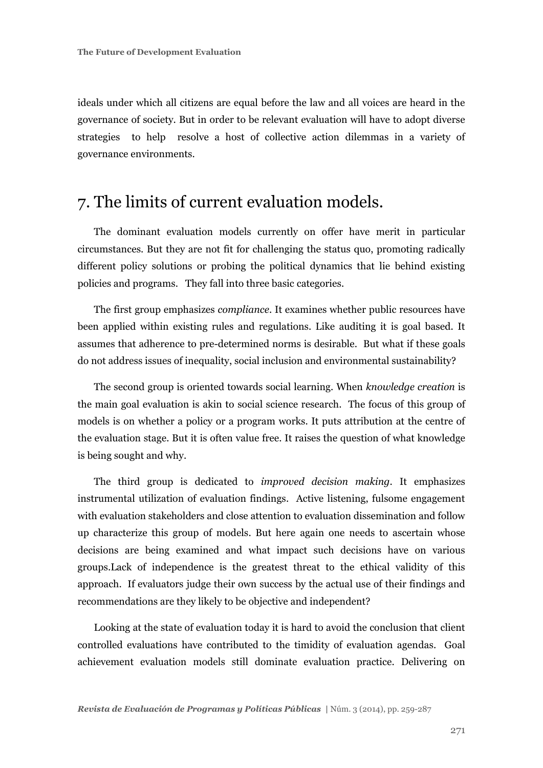ideals under which all citizens are equal before the law and all voices are heard in the governance of society. But in order to be relevant evaluation will have to adopt diverse strategies to help resolve a host of collective action dilemmas in a variety of governance environments.

### 7. The limits of current evaluation models.

The dominant evaluation models currently on offer have merit in particular circumstances. But they are not fit for challenging the status quo, promoting radically different policy solutions or probing the political dynamics that lie behind existing policies and programs. They fall into three basic categories.

The first group emphasizes *compliance*. It examines whether public resources have been applied within existing rules and regulations. Like auditing it is goal based. It assumes that adherence to pre-determined norms is desirable. But what if these goals do not address issues of inequality, social inclusion and environmental sustainability?

The second group is oriented towards social learning. When *knowledge creation* is the main goal evaluation is akin to social science research. The focus of this group of models is on whether a policy or a program works. It puts attribution at the centre of the evaluation stage. But it is often value free. It raises the question of what knowledge is being sought and why.

The third group is dedicated to *improved decision making*. It emphasizes instrumental utilization of evaluation findings. Active listening, fulsome engagement with evaluation stakeholders and close attention to evaluation dissemination and follow up characterize this group of models. But here again one needs to ascertain whose decisions are being examined and what impact such decisions have on various groups.Lack of independence is the greatest threat to the ethical validity of this approach. If evaluators judge their own success by the actual use of their findings and recommendations are they likely to be objective and independent?

Looking at the state of evaluation today it is hard to avoid the conclusion that client controlled evaluations have contributed to the timidity of evaluation agendas. Goal achievement evaluation models still dominate evaluation practice. Delivering on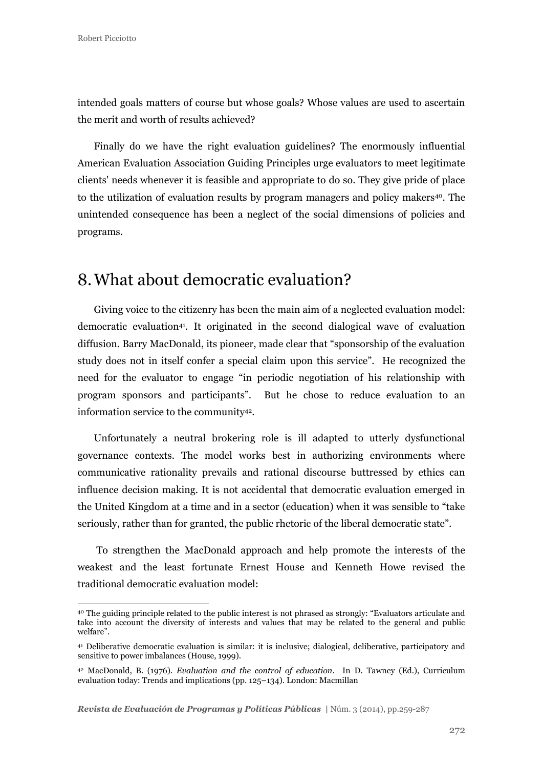**.** 

intended goals matters of course but whose goals? Whose values are used to ascertain the merit and worth of results achieved?

Finally do we have the right evaluation guidelines? The enormously influential American Evaluation Association Guiding Principles urge evaluators to meet legitimate clients' needs whenever it is feasible and appropriate to do so. They give pride of place to the utilization of evaluation results by program managers and policy makers<sup>40</sup>. The unintended consequence has been a neglect of the social dimensions of policies and programs.

#### 8.What about democratic evaluation?

Giving voice to the citizenry has been the main aim of a neglected evaluation model: democratic evaluation41. It originated in the second dialogical wave of evaluation diffusion. Barry MacDonald, its pioneer, made clear that "sponsorship of the evaluation study does not in itself confer a special claim upon this service". He recognized the need for the evaluator to engage "in periodic negotiation of his relationship with program sponsors and participants". But he chose to reduce evaluation to an information service to the community<sup>42</sup> .

Unfortunately a neutral brokering role is ill adapted to utterly dysfunctional governance contexts. The model works best in authorizing environments where communicative rationality prevails and rational discourse buttressed by ethics can influence decision making. It is not accidental that democratic evaluation emerged in the United Kingdom at a time and in a sector (education) when it was sensible to "take seriously, rather than for granted, the public rhetoric of the liberal democratic state".

To strengthen the MacDonald approach and help promote the interests of the weakest and the least fortunate Ernest House and Kenneth Howe revised the traditional democratic evaluation model:

<sup>40</sup> The guiding principle related to the public interest is not phrased as strongly: "Evaluators articulate and take into account the diversity of interests and values that may be related to the general and public welfare".

<sup>41</sup> Deliberative democratic evaluation is similar: it is inclusive; dialogical, deliberative, participatory and sensitive to power imbalances (House, 1999).

<sup>42</sup> MacDonald, B. (1976). *Evaluation and the control of education*. In D. Tawney (Ed.), Curriculum evaluation today: Trends and implications (pp. 125–134). London: Macmillan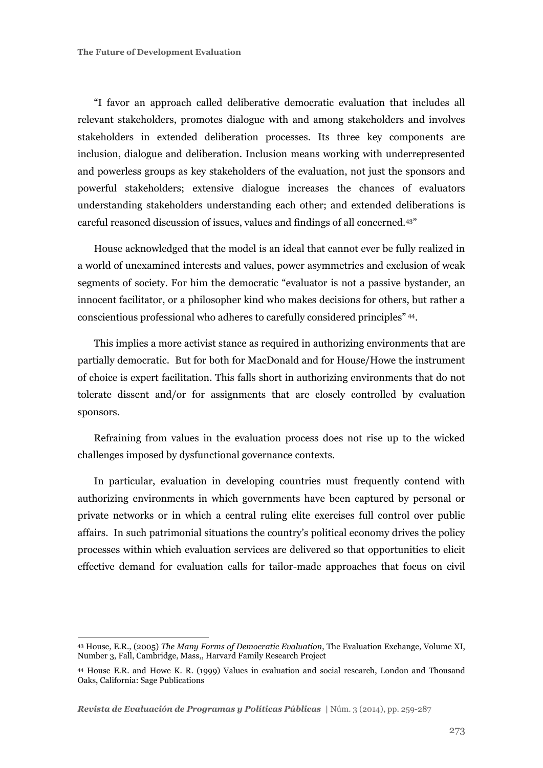"I favor an approach called deliberative democratic evaluation that includes all relevant stakeholders, promotes dialogue with and among stakeholders and involves stakeholders in extended deliberation processes. Its three key components are inclusion, dialogue and deliberation. Inclusion means working with underrepresented and powerless groups as key stakeholders of the evaluation, not just the sponsors and powerful stakeholders; extensive dialogue increases the chances of evaluators understanding stakeholders understanding each other; and extended deliberations is careful reasoned discussion of issues, values and findings of all concerned.43"

House acknowledged that the model is an ideal that cannot ever be fully realized in a world of unexamined interests and values, power asymmetries and exclusion of weak segments of society. For him the democratic "evaluator is not a passive bystander, an innocent facilitator, or a philosopher kind who makes decisions for others, but rather a conscientious professional who adheres to carefully considered principles" <sup>44</sup> .

This implies a more activist stance as required in authorizing environments that are partially democratic. But for both for MacDonald and for House/Howe the instrument of choice is expert facilitation. This falls short in authorizing environments that do not tolerate dissent and/or for assignments that are closely controlled by evaluation sponsors.

Refraining from values in the evaluation process does not rise up to the wicked challenges imposed by dysfunctional governance contexts.

In particular, evaluation in developing countries must frequently contend with authorizing environments in which governments have been captured by personal or private networks or in which a central ruling elite exercises full control over public affairs. In such patrimonial situations the country's political economy drives the policy processes within which evaluation services are delivered so that opportunities to elicit effective demand for evaluation calls for tailor-made approaches that focus on civil

**.** 

<sup>43</sup> House, E.R., (2005) *The Many Forms of Democratic Evaluation*, The Evaluation Exchange, Volume XI, Number 3, Fall, Cambridge, Mass,, Harvard Family Research Project

<sup>44</sup> House E.R. and Howe K. R. (1999) Values in evaluation and social research, London and Thousand Oaks, California: Sage Publications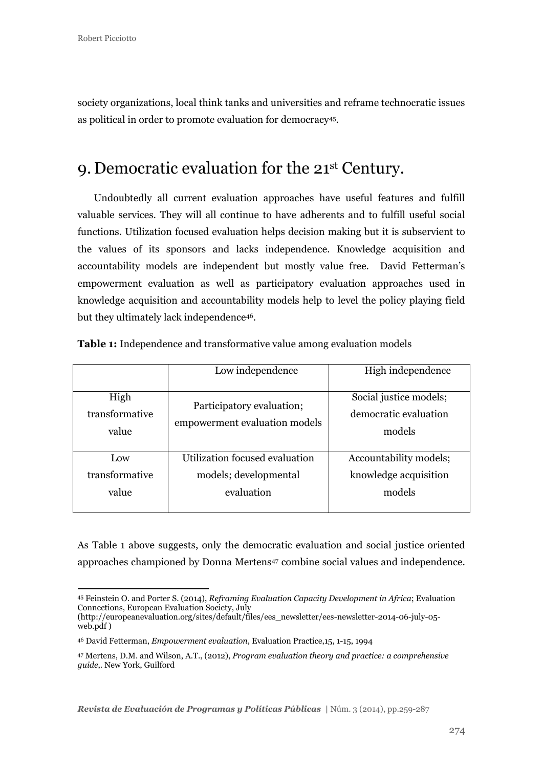**.** 

society organizations, local think tanks and universities and reframe technocratic issues as political in order to promote evaluation for democracy<sup>45</sup> .

# 9. Democratic evaluation for the 21st Century.

Undoubtedly all current evaluation approaches have useful features and fulfill valuable services. They will all continue to have adherents and to fulfill useful social functions. Utilization focused evaluation helps decision making but it is subservient to the values of its sponsors and lacks independence. Knowledge acquisition and accountability models are independent but mostly value free. David Fetterman's empowerment evaluation as well as participatory evaluation approaches used in knowledge acquisition and accountability models help to level the policy playing field but they ultimately lack independence<sup>46</sup> .

|                                 | Low independence                                                      | High independence                                         |
|---------------------------------|-----------------------------------------------------------------------|-----------------------------------------------------------|
| High<br>transformative<br>value | Participatory evaluation;<br>empowerment evaluation models            | Social justice models;<br>democratic evaluation<br>models |
| Low<br>transformative<br>value  | Utilization focused evaluation<br>models; developmental<br>evaluation | Accountability models;<br>knowledge acquisition<br>models |

**Table 1:** Independence and transformative value among evaluation models

As Table 1 above suggests, only the democratic evaluation and social justice oriented approaches championed by Donna Mertens<sup>47</sup> combine social values and independence.

<sup>45</sup> Feinstein O. and Porter S. (2014), *Reframing Evaluation Capacity Development in Africa*; Evaluation Connections, European Evaluation Society, July

<sup>(</sup>http://europeanevaluation.org/sites/default/files/ees\_newsletter/ees-newsletter-2014-06-july-05 web.pdf )

<sup>46</sup> David Fetterman, *Empowerment evaluation*, Evaluation Practice,15, 1-15, 1994

<sup>47</sup> Mertens, D.M. and Wilson, A.T., (2012), *Program evaluation theory and practice: a comprehensive guide*,. New York, Guilford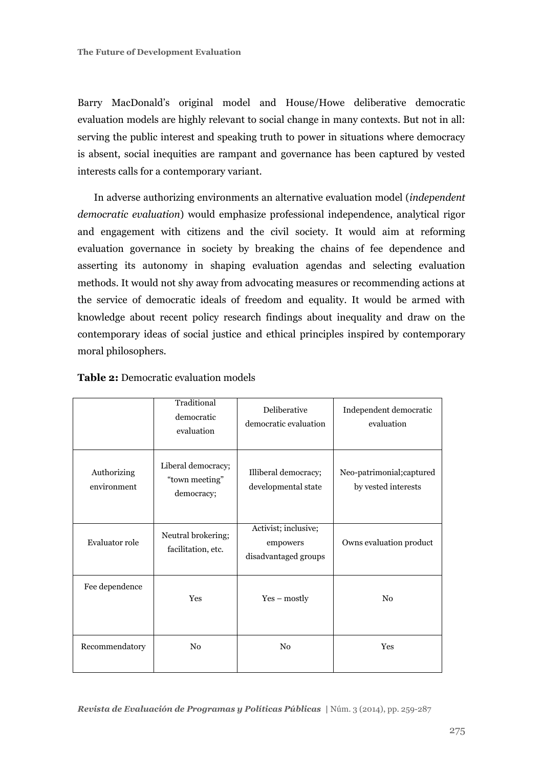Barry MacDonald's original model and House/Howe deliberative democratic evaluation models are highly relevant to social change in many contexts. But not in all: serving the public interest and speaking truth to power in situations where democracy is absent, social inequities are rampant and governance has been captured by vested interests calls for a contemporary variant.

In adverse authorizing environments an alternative evaluation model (*independent democratic evaluation*) would emphasize professional independence, analytical rigor and engagement with citizens and the civil society. It would aim at reforming evaluation governance in society by breaking the chains of fee dependence and asserting its autonomy in shaping evaluation agendas and selecting evaluation methods. It would not shy away from advocating measures or recommending actions at the service of democratic ideals of freedom and equality. It would be armed with knowledge about recent policy research findings about inequality and draw on the contemporary ideas of social justice and ethical principles inspired by contemporary moral philosophers.

|                            | Traditional<br>democratic<br>evaluation            | Deliberative<br>democratic evaluation                    | Independent democratic<br>evaluation             |
|----------------------------|----------------------------------------------------|----------------------------------------------------------|--------------------------------------------------|
| Authorizing<br>environment | Liberal democracy;<br>"town meeting"<br>democracy; | Illiberal democracy;<br>developmental state              | Neo-patrimonial; captured<br>by vested interests |
| Evaluator role             | Neutral brokering;<br>facilitation, etc.           | Activist; inclusive;<br>empowers<br>disadvantaged groups | Owns evaluation product                          |
| Fee dependence             | Yes                                                | $Yes - mostly$                                           | No                                               |
| Recommendatory             | N <sub>0</sub>                                     | N <sub>0</sub>                                           | Yes                                              |

#### **Table 2:** Democratic evaluation models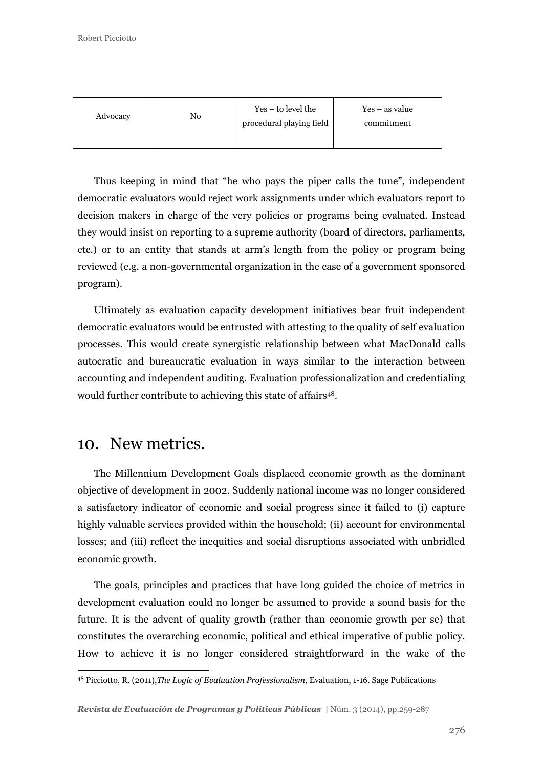| Advocacy | No | $Yes - to level the$<br>procedural playing field | $Yes - as value$<br>commitment |
|----------|----|--------------------------------------------------|--------------------------------|
|          |    |                                                  |                                |

Thus keeping in mind that "he who pays the piper calls the tune", independent democratic evaluators would reject work assignments under which evaluators report to decision makers in charge of the very policies or programs being evaluated. Instead they would insist on reporting to a supreme authority (board of directors, parliaments, etc.) or to an entity that stands at arm's length from the policy or program being reviewed (e.g. a non-governmental organization in the case of a government sponsored program).

Ultimately as evaluation capacity development initiatives bear fruit independent democratic evaluators would be entrusted with attesting to the quality of self evaluation processes. This would create synergistic relationship between what MacDonald calls autocratic and bureaucratic evaluation in ways similar to the interaction between accounting and independent auditing. Evaluation professionalization and credentialing would further contribute to achieving this state of affairs<sup>48</sup>.

#### 10. New metrics.

1

The Millennium Development Goals displaced economic growth as the dominant objective of development in 2002. Suddenly national income was no longer considered a satisfactory indicator of economic and social progress since it failed to (i) capture highly valuable services provided within the household; (ii) account for environmental losses; and (iii) reflect the inequities and social disruptions associated with unbridled economic growth.

The goals, principles and practices that have long guided the choice of metrics in development evaluation could no longer be assumed to provide a sound basis for the future. It is the advent of quality growth (rather than economic growth per se) that constitutes the overarching economic, political and ethical imperative of public policy. How to achieve it is no longer considered straightforward in the wake of the

<sup>48</sup> Picciotto, R. (2011),*The Logic of Evaluation Professionalism*, Evaluation, 1-16. Sage Publications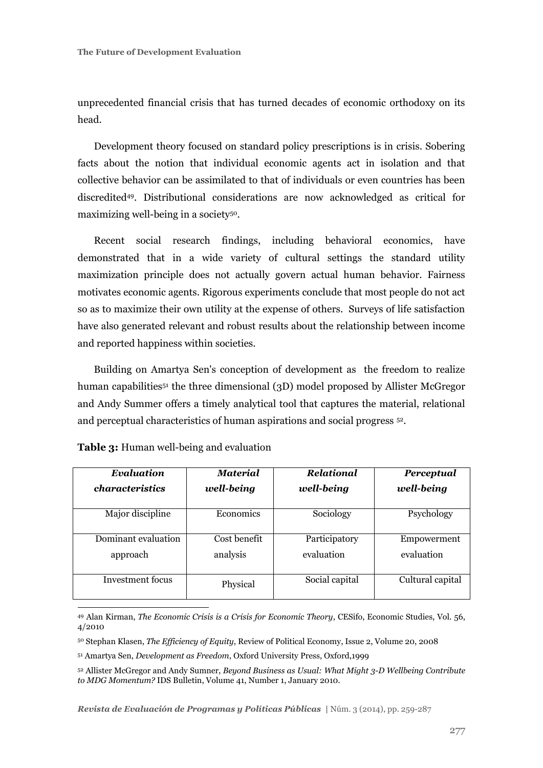unprecedented financial crisis that has turned decades of economic orthodoxy on its head.

Development theory focused on standard policy prescriptions is in crisis. Sobering facts about the notion that individual economic agents act in isolation and that collective behavior can be assimilated to that of individuals or even countries has been discredited<sup>49</sup> . Distributional considerations are now acknowledged as critical for maximizing well-being in a society<sup>50</sup>.

Recent social research findings, including behavioral economics, have demonstrated that in a wide variety of cultural settings the standard utility maximization principle does not actually govern actual human behavior. Fairness motivates economic agents. Rigorous experiments conclude that most people do not act so as to maximize their own utility at the expense of others. Surveys of life satisfaction have also generated relevant and robust results about the relationship between income and reported happiness within societies.

Building on Amartya Sen's conception of development as the freedom to realize human capabilities<sup>51</sup> the three dimensional (3D) model proposed by Allister McGregor and Andy Summer offers a timely analytical tool that captures the material, relational and perceptual characteristics of human aspirations and social progress <sup>52</sup> .

| <b>Evaluation</b>               | <b>Material</b>          | <b>Relational</b>           | Perceptual                |
|---------------------------------|--------------------------|-----------------------------|---------------------------|
| <i>characteristics</i>          | well-being               | well-being                  | well-being                |
| Major discipline                | Economics                | Sociology                   | Psychology                |
| Dominant evaluation<br>approach | Cost benefit<br>analysis | Participatory<br>evaluation | Empowerment<br>evaluation |
| Investment focus                | Physical                 | Social capital              | Cultural capital          |

**Table 3:** Human well-being and evaluation

**.** 

<sup>49</sup> Alan Kirman, *The Economic Crisis is a Crisis for Economic Theory*, CESifo, Economic Studies, Vol. 56, 4/2010

<sup>50</sup> Stephan Klasen, *The Efficiency of Equity*, Review of Political Economy, Issue 2, Volume 20, 2008

<sup>52</sup> Allister McGregor and Andy Sumner, *Beyond Business as Usual: What Might 3-D Wellbeing Contribute to MDG Momentum?* IDS Bulletin, Volume 41, Number 1, January 2010.

<sup>51</sup> Amartya Sen, *Development as Freedom*, Oxford University Press, Oxford,1999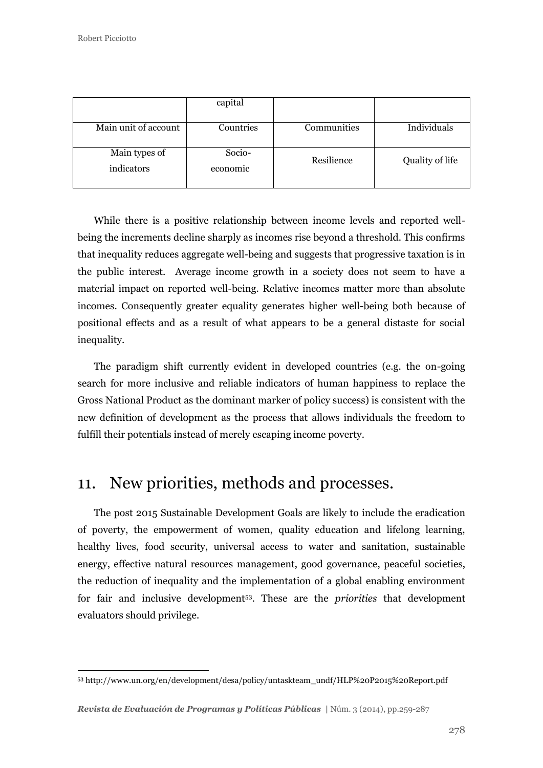|                             | capital            |             |                 |
|-----------------------------|--------------------|-------------|-----------------|
| Main unit of account        | Countries          | Communities | Individuals     |
| Main types of<br>indicators | Socio-<br>economic | Resilience  | Quality of life |

While there is a positive relationship between income levels and reported wellbeing the increments decline sharply as incomes rise beyond a threshold. This confirms that inequality reduces aggregate well-being and suggests that progressive taxation is in the public interest. Average income growth in a society does not seem to have a material impact on reported well-being. Relative incomes matter more than absolute incomes. Consequently greater equality generates higher well-being both because of positional effects and as a result of what appears to be a general distaste for social inequality.

The paradigm shift currently evident in developed countries (e.g. the on-going search for more inclusive and reliable indicators of human happiness to replace the Gross National Product as the dominant marker of policy success) is consistent with the new definition of development as the process that allows individuals the freedom to fulfill their potentials instead of merely escaping income poverty.

## 11. New priorities, methods and processes.

The post 2015 Sustainable Development Goals are likely to include the eradication of poverty, the empowerment of women, quality education and lifelong learning, healthy lives, food security, universal access to water and sanitation, sustainable energy, effective natural resources management, good governance, peaceful societies, the reduction of inequality and the implementation of a global enabling environment for fair and inclusive development53. These are the *priorities* that development evaluators should privilege.

<sup>1</sup> <sup>53</sup> http://www.un.org/en/development/desa/policy/untaskteam\_undf/HLP%20P2015%20Report.pdf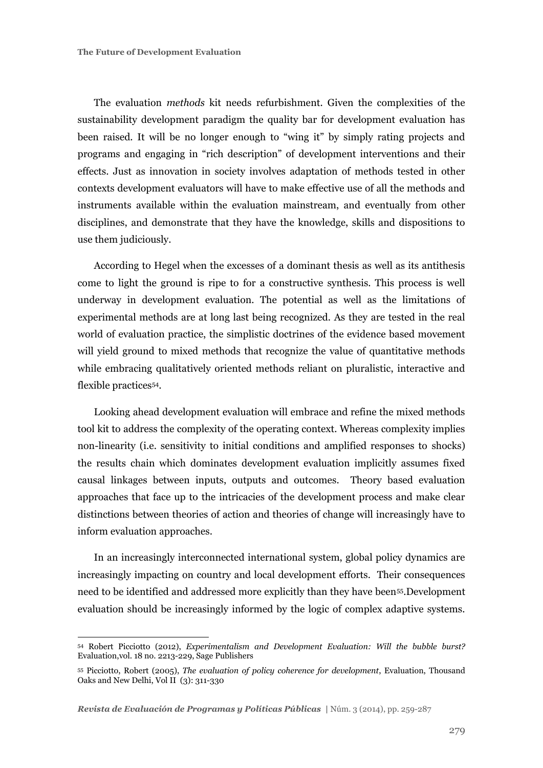The evaluation *methods* kit needs refurbishment. Given the complexities of the sustainability development paradigm the quality bar for development evaluation has been raised. It will be no longer enough to "wing it" by simply rating projects and programs and engaging in "rich description" of development interventions and their effects. Just as innovation in society involves adaptation of methods tested in other contexts development evaluators will have to make effective use of all the methods and instruments available within the evaluation mainstream, and eventually from other disciplines, and demonstrate that they have the knowledge, skills and dispositions to use them judiciously.

According to Hegel when the excesses of a dominant thesis as well as its antithesis come to light the ground is ripe to for a constructive synthesis. This process is well underway in development evaluation. The potential as well as the limitations of experimental methods are at long last being recognized. As they are tested in the real world of evaluation practice, the simplistic doctrines of the evidence based movement will yield ground to mixed methods that recognize the value of quantitative methods while embracing qualitatively oriented methods reliant on pluralistic, interactive and flexible practices<sup>54</sup>.

Looking ahead development evaluation will embrace and refine the mixed methods tool kit to address the complexity of the operating context. Whereas complexity implies non-linearity (i.e. sensitivity to initial conditions and amplified responses to shocks) the results chain which dominates development evaluation implicitly assumes fixed causal linkages between inputs, outputs and outcomes. Theory based evaluation approaches that face up to the intricacies of the development process and make clear distinctions between theories of action and theories of change will increasingly have to inform evaluation approaches.

In an increasingly interconnected international system, global policy dynamics are increasingly impacting on country and local development efforts. Their consequences need to be identified and addressed more explicitly than they have been55.Development evaluation should be increasingly informed by the logic of complex adaptive systems.

**.** 

<sup>54</sup> Robert Picciotto (2012), *Experimentalism and Development Evaluation: Will the bubble burst?* Evaluation,vol. 18 no. 2213-229, Sage Publishers

<sup>55</sup> Picciotto, Robert (2005), *The evaluation of policy coherence for development*, Evaluation, Thousand Oaks and New Delhi, Vol II (3): 311-330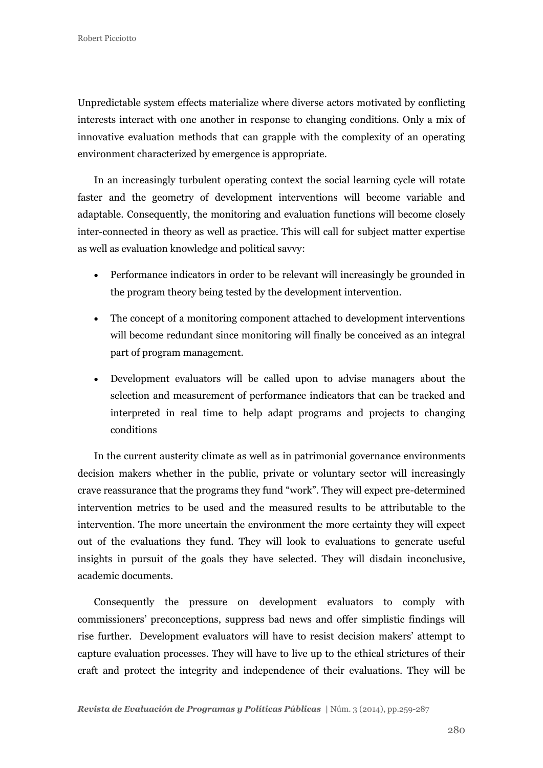Unpredictable system effects materialize where diverse actors motivated by conflicting interests interact with one another in response to changing conditions. Only a mix of innovative evaluation methods that can grapple with the complexity of an operating environment characterized by emergence is appropriate.

In an increasingly turbulent operating context the social learning cycle will rotate faster and the geometry of development interventions will become variable and adaptable. Consequently, the monitoring and evaluation functions will become closely inter-connected in theory as well as practice. This will call for subject matter expertise as well as evaluation knowledge and political savvy:

- Performance indicators in order to be relevant will increasingly be grounded in the program theory being tested by the development intervention.
- The concept of a monitoring component attached to development interventions will become redundant since monitoring will finally be conceived as an integral part of program management.
- Development evaluators will be called upon to advise managers about the selection and measurement of performance indicators that can be tracked and interpreted in real time to help adapt programs and projects to changing conditions

In the current austerity climate as well as in patrimonial governance environments decision makers whether in the public, private or voluntary sector will increasingly crave reassurance that the programs they fund "work". They will expect pre-determined intervention metrics to be used and the measured results to be attributable to the intervention. The more uncertain the environment the more certainty they will expect out of the evaluations they fund. They will look to evaluations to generate useful insights in pursuit of the goals they have selected. They will disdain inconclusive, academic documents.

Consequently the pressure on development evaluators to comply with commissioners' preconceptions, suppress bad news and offer simplistic findings will rise further. Development evaluators will have to resist decision makers' attempt to capture evaluation processes. They will have to live up to the ethical strictures of their craft and protect the integrity and independence of their evaluations. They will be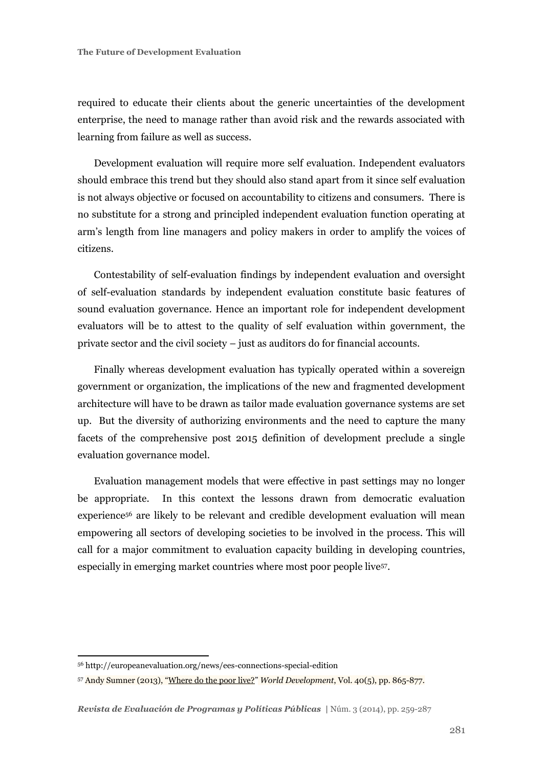required to educate their clients about the generic uncertainties of the development enterprise, the need to manage rather than avoid risk and the rewards associated with learning from failure as well as success.

Development evaluation will require more self evaluation. Independent evaluators should embrace this trend but they should also stand apart from it since self evaluation is not always objective or focused on accountability to citizens and consumers. There is no substitute for a strong and principled independent evaluation function operating at arm's length from line managers and policy makers in order to amplify the voices of citizens.

Contestability of self-evaluation findings by independent evaluation and oversight of self-evaluation standards by independent evaluation constitute basic features of sound evaluation governance. Hence an important role for independent development evaluators will be to attest to the quality of self evaluation within government, the private sector and the civil society – just as auditors do for financial accounts.

Finally whereas development evaluation has typically operated within a sovereign government or organization, the implications of the new and fragmented development architecture will have to be drawn as tailor made evaluation governance systems are set up. But the diversity of authorizing environments and the need to capture the many facets of the comprehensive post 2015 definition of development preclude a single evaluation governance model.

Evaluation management models that were effective in past settings may no longer be appropriate. In this context the lessons drawn from democratic evaluation experience<sup>56</sup> are likely to be relevant and credible development evaluation will mean empowering all sectors of developing societies to be involved in the process. This will call for a major commitment to evaluation capacity building in developing countries, especially in emerging market countries where most poor people live<sup>57</sup>.

**.** 

<sup>56</sup> http://europeanevaluation.org/news/ees-connections-special-edition

<sup>57</sup> Andy Sumner (2013), "[Where do the poor live?](http://www.sciencedirect.com/science/article/pii/S0305750X11002294)" *World Development*, Vol. 40(5), pp. 865-877.

*Revista de Evaluación de Programas y Políticas Públicas |* Núm. 3 (2014), pp. 259-287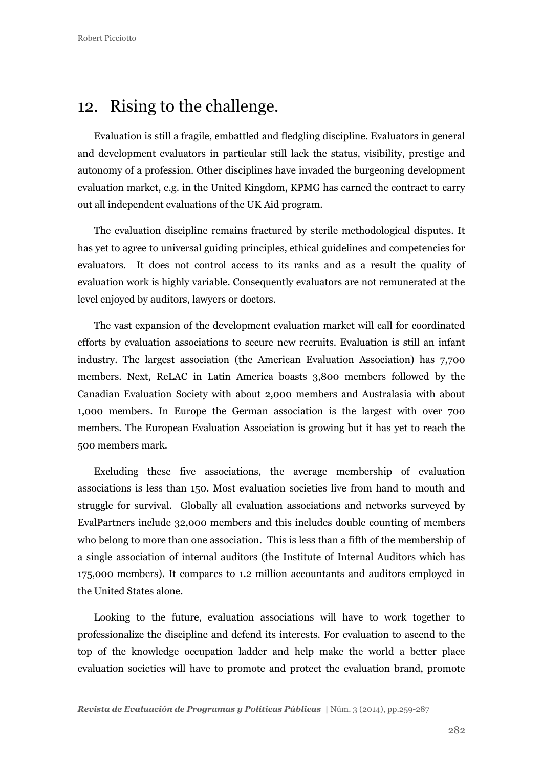## 12. Rising to the challenge.

Evaluation is still a fragile, embattled and fledgling discipline. Evaluators in general and development evaluators in particular still lack the status, visibility, prestige and autonomy of a profession. Other disciplines have invaded the burgeoning development evaluation market, e.g. in the United Kingdom, KPMG has earned the contract to carry out all independent evaluations of the UK Aid program.

The evaluation discipline remains fractured by sterile methodological disputes. It has yet to agree to universal guiding principles, ethical guidelines and competencies for evaluators. It does not control access to its ranks and as a result the quality of evaluation work is highly variable. Consequently evaluators are not remunerated at the level enjoyed by auditors, lawyers or doctors.

The vast expansion of the development evaluation market will call for coordinated efforts by evaluation associations to secure new recruits. Evaluation is still an infant industry. The largest association (the American Evaluation Association) has 7,700 members. Next, ReLAC in Latin America boasts 3,800 members followed by the Canadian Evaluation Society with about 2,000 members and Australasia with about 1,000 members. In Europe the German association is the largest with over 700 members. The European Evaluation Association is growing but it has yet to reach the 500 members mark.

Excluding these five associations, the average membership of evaluation associations is less than 150. Most evaluation societies live from hand to mouth and struggle for survival. Globally all evaluation associations and networks surveyed by EvalPartners include 32,000 members and this includes double counting of members who belong to more than one association. This is less than a fifth of the membership of a single association of internal auditors (the Institute of Internal Auditors which has 175,000 members). It compares to 1.2 million accountants and auditors employed in the United States alone.

Looking to the future, evaluation associations will have to work together to professionalize the discipline and defend its interests. For evaluation to ascend to the top of the knowledge occupation ladder and help make the world a better place evaluation societies will have to promote and protect the evaluation brand, promote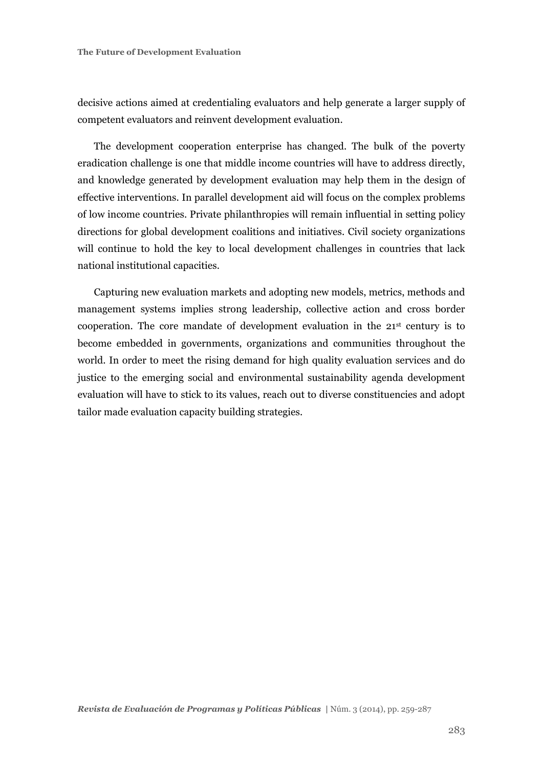decisive actions aimed at credentialing evaluators and help generate a larger supply of competent evaluators and reinvent development evaluation.

The development cooperation enterprise has changed. The bulk of the poverty eradication challenge is one that middle income countries will have to address directly, and knowledge generated by development evaluation may help them in the design of effective interventions. In parallel development aid will focus on the complex problems of low income countries. Private philanthropies will remain influential in setting policy directions for global development coalitions and initiatives. Civil society organizations will continue to hold the key to local development challenges in countries that lack national institutional capacities.

Capturing new evaluation markets and adopting new models, metrics, methods and management systems implies strong leadership, collective action and cross border cooperation. The core mandate of development evaluation in the 21st century is to become embedded in governments, organizations and communities throughout the world. In order to meet the rising demand for high quality evaluation services and do justice to the emerging social and environmental sustainability agenda development evaluation will have to stick to its values, reach out to diverse constituencies and adopt tailor made evaluation capacity building strategies.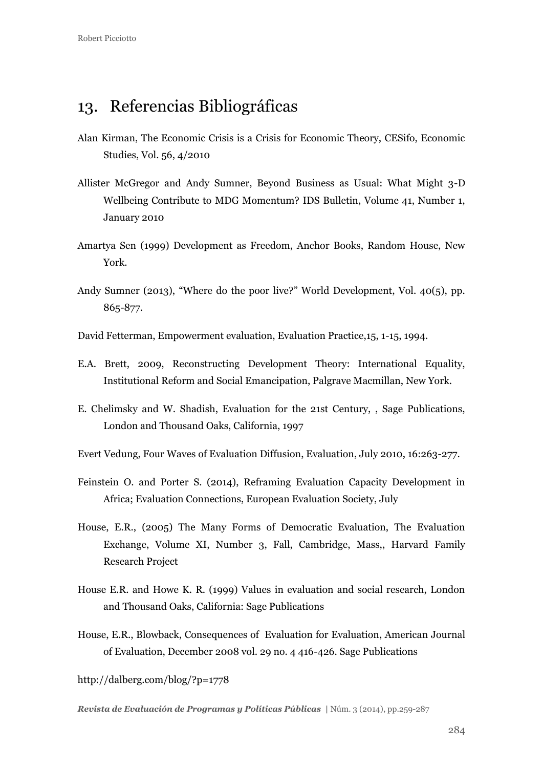## 13. Referencias Bibliográficas

- Alan Kirman, The Economic Crisis is a Crisis for Economic Theory, CESifo, Economic Studies, Vol. 56, 4/2010
- Allister McGregor and Andy Sumner, Beyond Business as Usual: What Might 3-D Wellbeing Contribute to MDG Momentum? IDS Bulletin, Volume 41, Number 1, January 2010
- Amartya Sen (1999) Development as Freedom, Anchor Books, Random House, New York.
- Andy Sumner (2013), "Where do the poor live?" World Development, Vol. 40(5), pp. 865-877.
- David Fetterman, Empowerment evaluation, Evaluation Practice,15, 1-15, 1994.
- E.A. Brett, 2009, Reconstructing Development Theory: International Equality, Institutional Reform and Social Emancipation, Palgrave Macmillan, New York.
- E. Chelimsky and W. Shadish, Evaluation for the 21st Century, , Sage Publications, London and Thousand Oaks, California, 1997
- Evert Vedung, Four Waves of Evaluation Diffusion, Evaluation, July 2010, 16:263-277.
- Feinstein O. and Porter S. (2014), Reframing Evaluation Capacity Development in Africa; Evaluation Connections, European Evaluation Society, July
- House, E.R., (2005) The Many Forms of Democratic Evaluation, The Evaluation Exchange, Volume XI, Number 3, Fall, Cambridge, Mass,, Harvard Family Research Project
- House E.R. and Howe K. R. (1999) Values in evaluation and social research, London and Thousand Oaks, California: Sage Publications
- House, E.R., Blowback, Consequences of Evaluation for Evaluation, American Journal of Evaluation, December 2008 vol. 29 no. 4 416-426. Sage Publications

http://dalberg.com/blog/?p=1778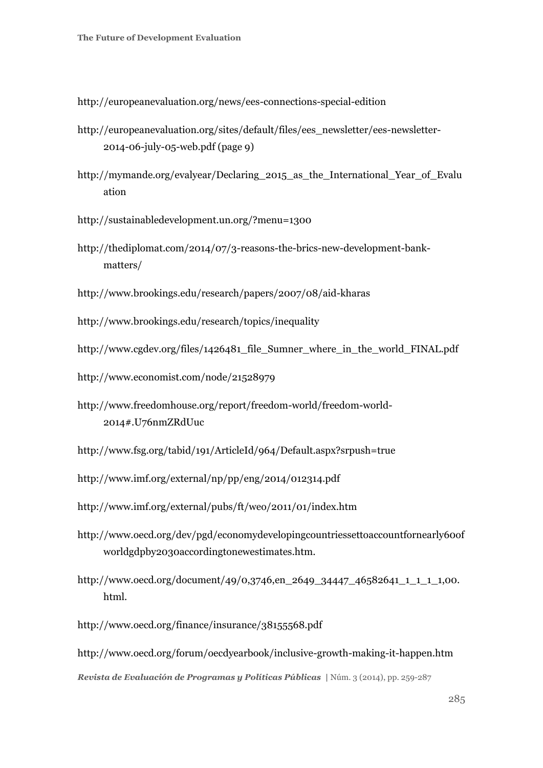http://europeanevaluation.org/news/ees-connections-special-edition

- http://europeanevaluation.org/sites/default/files/ees\_newsletter/ees-newsletter-2014-06-july-05-web.pdf (page 9)
- http://mymande.org/evalyear/Declaring\_2015\_as\_the\_International\_Year\_of\_Evalu ation
- http://sustainabledevelopment.un.org/?menu=1300
- http://thediplomat.com/2014/07/3-reasons-the-brics-new-development-bankmatters/
- http://www.brookings.edu/research/papers/2007/08/aid-kharas
- http://www.brookings.edu/research/topics/inequality
- http://www.cgdev.org/files/1426481\_file\_Sumner\_where\_in\_the\_world\_FINAL.pdf
- http://www.economist.com/node/21528979
- http://www.freedomhouse.org/report/freedom-world/freedom-world-2014#.U76nmZRdUuc
- http://www.fsg.org/tabid/191/ArticleId/964/Default.aspx?srpush=true
- http://www.imf.org/external/np/pp/eng/2014/012314.pdf
- http://www.imf.org/external/pubs/ft/weo/2011/01/index.htm
- http://www.oecd.org/dev/pgd/economydevelopingcountriessettoaccountfornearly60of worldgdpby2030accordingtonewestimates.htm.
- http://www.oecd.org/document/49/0,3746,en\_2649\_34447\_46582641\_1\_1\_1\_1,00. html.
- http://www.oecd.org/finance/insurance/38155568.pdf
- http://www.oecd.org/forum/oecdyearbook/inclusive-growth-making-it-happen.htm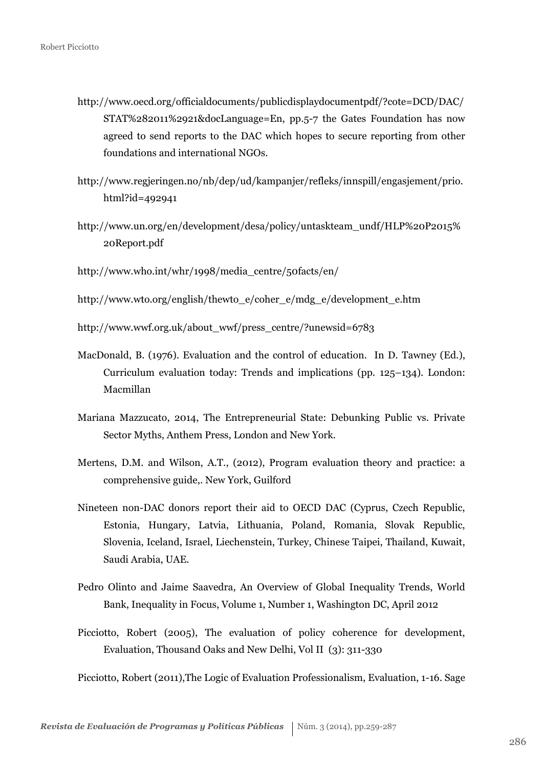- http://www.oecd.org/officialdocuments/publicdisplaydocumentpdf/?cote=DCD/DAC/ STAT%282011%2921&docLanguage=En, pp.5-7 the Gates Foundation has now agreed to send reports to the DAC which hopes to secure reporting from other foundations and international NGOs.
- http://www.regjeringen.no/nb/dep/ud/kampanjer/refleks/innspill/engasjement/prio. html?id=492941
- http://www.un.org/en/development/desa/policy/untaskteam\_undf/HLP%20P2015% 20Report.pdf
- http://www.who.int/whr/1998/media\_centre/50facts/en/
- http://www.wto.org/english/thewto\_e/coher\_e/mdg\_e/development\_e.htm
- http://www.wwf.org.uk/about\_wwf/press\_centre/?unewsid=6783
- MacDonald, B. (1976). Evaluation and the control of education. In D. Tawney (Ed.), Curriculum evaluation today: Trends and implications (pp. 125–134). London: Macmillan
- Mariana Mazzucato, 2014, The Entrepreneurial State: Debunking Public vs. Private Sector Myths, Anthem Press, London and New York.
- Mertens, D.M. and Wilson, A.T., (2012), Program evaluation theory and practice: a comprehensive guide,. New York, Guilford
- Nineteen non-DAC donors report their aid to OECD DAC (Cyprus, Czech Republic, Estonia, Hungary, Latvia, Lithuania, Poland, Romania, Slovak Republic, Slovenia, Iceland, Israel, Liechenstein, Turkey, Chinese Taipei, Thailand, Kuwait, Saudi Arabia, UAE.
- Pedro Olinto and Jaime Saavedra, An Overview of Global Inequality Trends, World Bank, Inequality in Focus, Volume 1, Number 1, Washington DC, April 2012
- Picciotto, Robert (2005), The evaluation of policy coherence for development, Evaluation, Thousand Oaks and New Delhi, Vol II (3): 311-330

Picciotto, Robert (2011),The Logic of Evaluation Professionalism, Evaluation, 1-16. Sage